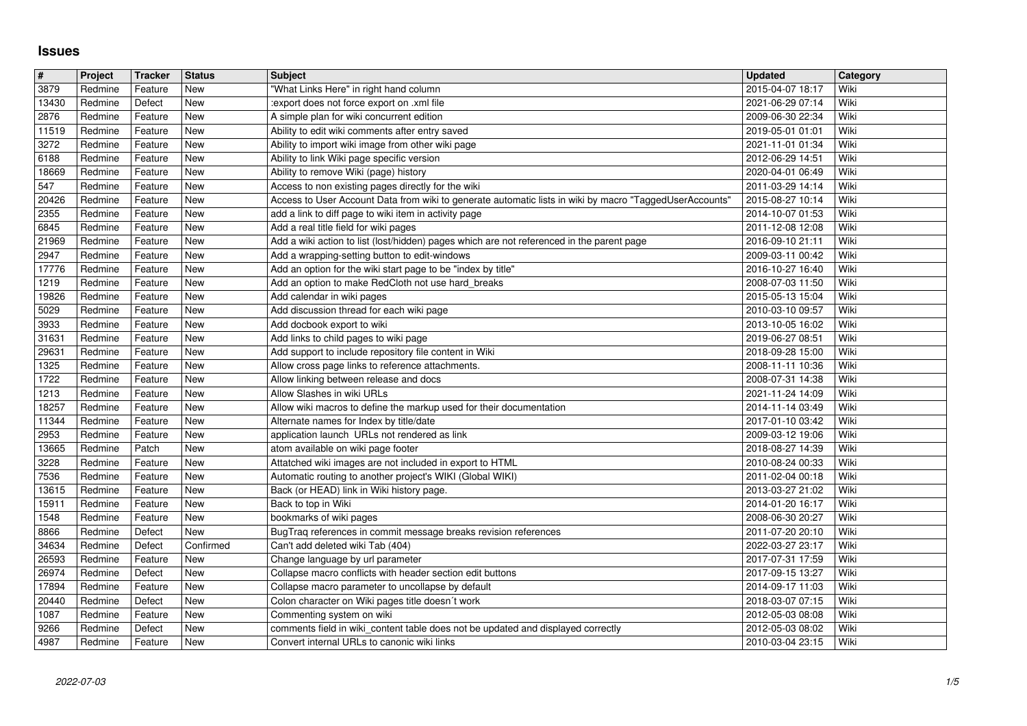## **Issues**

| #              | Project            | <b>Tracker</b>     | <b>Status</b>     | <b>Subject</b>                                                                                                                                                | <b>Updated</b>                       | Category     |
|----------------|--------------------|--------------------|-------------------|---------------------------------------------------------------------------------------------------------------------------------------------------------------|--------------------------------------|--------------|
| 3879           | Redmine            | Feature            | New               | "What Links Here" in right hand column                                                                                                                        | 2015-04-07 18:17                     | Wiki         |
| 13430<br>2876  | Redmine<br>Redmine | Defect<br>Feature  | New<br>New        | :export does not force export on .xml file<br>A simple plan for wiki concurrent edition                                                                       | 2021-06-29 07:14<br>2009-06-30 22:34 | Wiki<br>Wiki |
| 11519          | Redmine            | Feature            | <b>New</b>        | Ability to edit wiki comments after entry saved                                                                                                               | 2019-05-01 01:01                     | Wiki         |
| 3272           | Redmine            | Feature            | New               | Ability to import wiki image from other wiki page                                                                                                             | 2021-11-01 01:34                     | Wiki         |
| 6188           | Redmine            | Feature            | New               | Ability to link Wiki page specific version                                                                                                                    | 2012-06-29 14:51                     | Wiki         |
| 18669          | Redmine            | Feature            | New               | Ability to remove Wiki (page) history                                                                                                                         | 2020-04-01 06:49                     | Wiki         |
| 547<br>20426   | Redmine<br>Redmine | Feature<br>Feature | New<br>New        | Access to non existing pages directly for the wiki<br>Access to User Account Data from wiki to generate automatic lists in wiki by macro "TaggedUserAccounts' | 2011-03-29 14:14<br>2015-08-27 10:14 | Wiki<br>Wiki |
| 2355           | Redmine            | Feature            | New               | add a link to diff page to wiki item in activity page                                                                                                         | 2014-10-07 01:53                     | Wiki         |
| 6845           | Redmine            | Feature            | New               | Add a real title field for wiki pages                                                                                                                         | 2011-12-08 12:08                     | Wiki         |
| 21969          | Redmine            | Feature            | <b>New</b>        | Add a wiki action to list (lost/hidden) pages which are not referenced in the parent page                                                                     | 2016-09-10 21:11                     | Wiki         |
| 2947<br>17776  | Redmine<br>Redmine | Feature<br>Feature | New<br>New        | Add a wrapping-setting button to edit-windows<br>Add an option for the wiki start page to be "index by title"                                                 | 2009-03-11 00:42<br>2016-10-27 16:40 | Wiki<br>Wiki |
| 1219           | Redmine            | Feature            | New               | Add an option to make RedCloth not use hard_breaks                                                                                                            | 2008-07-03 11:50                     | Wiki         |
| 19826          | Redmine            | Feature            | New               | Add calendar in wiki pages                                                                                                                                    | 2015-05-13 15:04                     | Wiki         |
| 5029           | Redmine            | Feature            | <b>New</b>        | Add discussion thread for each wiki page                                                                                                                      | 2010-03-10 09:57                     | Wiki         |
| 3933           | Redmine            | Feature            | New               | Add docbook export to wiki                                                                                                                                    | 2013-10-05 16:02                     | Wiki         |
| 31631<br>29631 | Redmine<br>Redmine | Feature<br>Feature | New<br>New        | Add links to child pages to wiki page<br>Add support to include repository file content in Wiki                                                               | 2019-06-27 08:51<br>2018-09-28 15:00 | Wiki<br>Wiki |
| 1325           | Redmine            | Feature            | New               | Allow cross page links to reference attachments.                                                                                                              | 2008-11-11 10:36                     | Wiki         |
| 1722           | Redmine            | Feature            | New               | Allow linking between release and docs                                                                                                                        | 2008-07-31 14:38                     | Wiki         |
| 1213           | Redmine            | Feature            | New               | Allow Slashes in wiki URLs                                                                                                                                    | 2021-11-24 14:09                     | Wiki         |
| 18257<br>11344 | Redmine<br>Redmine | Feature<br>Feature | New<br>New        | Allow wiki macros to define the markup used for their documentation<br>Alternate names for Index by title/date                                                | 2014-11-14 03:49<br>2017-01-10 03:42 | Wiki<br>Wiki |
| 2953           | Redmine            | Feature            | <b>New</b>        | application launch URLs not rendered as link                                                                                                                  | 2009-03-12 19:06                     | Wiki         |
| 13665          | Redmine            | Patch              | New               | atom available on wiki page footer                                                                                                                            | 2018-08-27 14:39                     | Wiki         |
| 3228           | Redmine            | Feature            | New               | Attatched wiki images are not included in export to HTML                                                                                                      | 2010-08-24 00:33                     | Wiki         |
| 7536<br>13615  | Redmine<br>Redmine | Feature<br>Feature | New<br><b>New</b> | Automatic routing to another project's WIKI (Global WIKI)                                                                                                     | 2011-02-04 00:18<br>2013-03-27 21:02 | Wiki<br>Wiki |
| 15911          | Redmine            | Feature            | New               | Back (or HEAD) link in Wiki history page.<br>Back to top in Wiki                                                                                              | 2014-01-20 16:17                     | Wiki         |
| 1548           | Redmine            | Feature            | <b>New</b>        | bookmarks of wiki pages                                                                                                                                       | 2008-06-30 20:27                     | Wiki         |
| 8866           | Redmine            | Defect             | <b>New</b>        | BugTraq references in commit message breaks revision references                                                                                               | 2011-07-20 20:10                     | Wiki         |
| 34634          | Redmine            | Defect             | Confirmed         | Can't add deleted wiki Tab (404)                                                                                                                              | 2022-03-27 23:17                     | Wiki         |
| 26593<br>26974 | Redmine<br>Redmine | Feature<br>Defect  | New<br>New        | Change language by url parameter<br>Collapse macro conflicts with header section edit buttons                                                                 | 2017-07-31 17:59<br>2017-09-15 13:27 | Wiki<br>Wiki |
| 17894          | Redmine            | Feature            | New               | Collapse macro parameter to uncollapse by default                                                                                                             | 2014-09-17 11:03                     | Wiki         |
| 20440          | Redmine            | Defect             | New               | Colon character on Wiki pages title doesn't work                                                                                                              | 2018-03-07 07:15                     | Wiki         |
| 1087           | Redmine            | Feature            | New               | Commenting system on wiki                                                                                                                                     | 2012-05-03 08:08                     | Wiki         |
| 9266<br>4987   | Redmine<br>Redmine | Defect<br>Feature  | New<br>New        | comments field in wiki_content table does not be updated and displayed correctly<br>Convert internal URLs to canonic wiki links                               | 2012-05-03 08:02<br>2010-03-04 23:15 | Wiki<br>Wiki |
|                |                    |                    |                   |                                                                                                                                                               |                                      |              |
|                |                    |                    |                   |                                                                                                                                                               |                                      |              |
|                |                    |                    |                   |                                                                                                                                                               |                                      |              |
|                |                    |                    |                   |                                                                                                                                                               |                                      |              |
|                |                    |                    |                   |                                                                                                                                                               |                                      |              |
|                |                    |                    |                   |                                                                                                                                                               |                                      |              |
|                |                    |                    |                   |                                                                                                                                                               |                                      |              |
|                |                    |                    |                   |                                                                                                                                                               |                                      |              |
|                |                    |                    |                   |                                                                                                                                                               |                                      |              |
|                |                    |                    |                   |                                                                                                                                                               |                                      |              |
|                |                    |                    |                   |                                                                                                                                                               |                                      |              |
|                |                    |                    |                   |                                                                                                                                                               |                                      |              |
|                |                    |                    |                   |                                                                                                                                                               |                                      |              |
|                |                    |                    |                   |                                                                                                                                                               |                                      |              |
|                |                    |                    |                   |                                                                                                                                                               |                                      |              |
|                |                    |                    |                   |                                                                                                                                                               |                                      |              |
|                |                    |                    |                   |                                                                                                                                                               |                                      |              |
|                |                    |                    |                   |                                                                                                                                                               |                                      |              |
|                |                    |                    |                   |                                                                                                                                                               |                                      |              |
|                |                    |                    |                   |                                                                                                                                                               |                                      |              |
|                |                    |                    |                   |                                                                                                                                                               |                                      |              |
|                |                    |                    |                   |                                                                                                                                                               |                                      |              |
|                |                    |                    |                   |                                                                                                                                                               |                                      |              |
|                |                    |                    |                   |                                                                                                                                                               |                                      |              |
|                |                    |                    |                   |                                                                                                                                                               |                                      |              |
|                |                    |                    |                   |                                                                                                                                                               |                                      |              |
|                |                    |                    |                   |                                                                                                                                                               |                                      |              |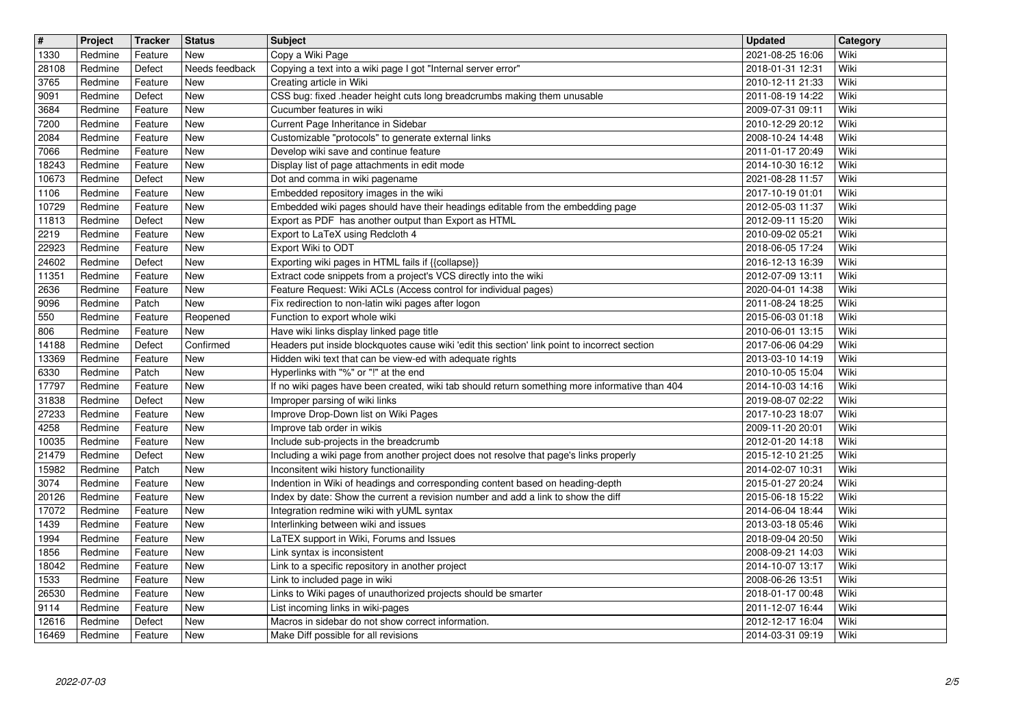| $\overline{\mathbf{H}}$<br>1330 | Project<br>Redmine | Tracker<br>Feature | <b>Status</b><br><b>New</b> | <b>Subject</b><br>Copy a Wiki Page                                                                                                         | <b>Updated</b><br>2021-08-25 16:06   | Category<br>Wiki |
|---------------------------------|--------------------|--------------------|-----------------------------|--------------------------------------------------------------------------------------------------------------------------------------------|--------------------------------------|------------------|
| 28108                           | Redmine            | Defect             | Needs feedback              | Copying a text into a wiki page I got "Internal server error"                                                                              | 2018-01-31 12:31                     | Wiki             |
| 3765<br>9091                    | Redmine<br>Redmine | Feature<br>Defect  | <b>New</b><br><b>New</b>    | Creating article in Wiki<br>CSS bug: fixed .header height cuts long breadcrumbs making them unusable                                       | 2010-12-11 21:33<br>2011-08-19 14:22 | Wiki<br>Wiki     |
| 3684                            | Redmine            | Feature            | <b>New</b>                  | Cucumber features in wiki                                                                                                                  | 2009-07-31 09:11                     | Wiki             |
| 7200<br>2084                    | Redmine<br>Redmine | Feature<br>Feature | <b>New</b><br>New           | Current Page Inheritance in Sidebar<br>Customizable "protocols" to generate external links                                                 | 2010-12-29 20:12<br>2008-10-24 14:48 | Wiki<br>Wiki     |
| 7066<br>18243                   | Redmine<br>Redmine | Feature<br>Feature | New<br><b>New</b>           | Develop wiki save and continue feature<br>Display list of page attachments in edit mode                                                    | 2011-01-17 20:49<br>2014-10-30 16:12 | Wiki<br>Wiki     |
| 10673                           | Redmine            | Defect             | New                         | Dot and comma in wiki pagename                                                                                                             | 2021-08-28 11:57                     | Wiki             |
| 1106<br>10729                   | Redmine<br>Redmine | Feature<br>Feature | <b>New</b><br><b>New</b>    | Embedded repository images in the wiki<br>Embedded wiki pages should have their headings editable from the embedding page                  | 2017-10-19 01:01<br>2012-05-03 11:37 | Wiki<br>Wiki     |
| 11813<br>2219                   | Redmine<br>Redmine | Defect<br>Feature  | New<br><b>New</b>           | Export as PDF has another output than Export as HTML<br>Export to LaTeX using Redcloth 4                                                   | 2012-09-11 15:20<br>2010-09-02 05:21 | Wiki<br>Wiki     |
| 22923                           | Redmine            | Feature            | <b>New</b>                  | Export Wiki to ODT                                                                                                                         | 2018-06-05 17:24                     | Wiki             |
| 24602<br>11351                  | Redmine<br>Redmine | Defect<br>Feature  | New<br>New                  | Exporting wiki pages in HTML fails if {{collapse}}<br>Extract code snippets from a project's VCS directly into the wiki                    | 2016-12-13 16:39<br>2012-07-09 13:11 | Wiki<br>Wiki     |
| 2636<br>9096                    | Redmine<br>Redmine | Feature<br>Patch   | New<br>New                  | Feature Request: Wiki ACLs (Access control for individual pages)<br>Fix redirection to non-latin wiki pages after logon                    | 2020-04-01 14:38<br>2011-08-24 18:25 | Wiki<br>Wiki     |
| 550                             | Redmine            | Feature            | Reopened                    | Function to export whole wiki                                                                                                              | 2015-06-03 01:18                     | Wiki             |
| 806<br>14188                    | Redmine<br>Redmine | Feature<br>Defect  | New<br>Confirmed            | Have wiki links display linked page title<br>Headers put inside blockquotes cause wiki 'edit this section' link point to incorrect section | 2010-06-01 13:15<br>2017-06-06 04:29 | Wiki<br>Wiki     |
| 13369<br>6330                   | Redmine<br>Redmine | Feature<br>Patch   | New<br><b>New</b>           | Hidden wiki text that can be view-ed with adequate rights<br>Hyperlinks with "%" or "!" at the end                                         | 2013-03-10 14:19<br>2010-10-05 15:04 | Wiki<br>Wiki     |
| 17797                           | Redmine            | Feature            | New                         | If no wiki pages have been created, wiki tab should return something more informative than 404                                             | 2014-10-03 14:16                     | Wiki             |
| 31838<br>27233                  | Redmine<br>Redmine | Defect<br>Feature  | New<br>New                  | Improper parsing of wiki links<br>Improve Drop-Down list on Wiki Pages                                                                     | 2019-08-07 02:22<br>2017-10-23 18:07 | Wiki<br>Wiki     |
| 4258                            | Redmine            | Feature            | New                         | Improve tab order in wikis                                                                                                                 | 2009-11-20 20:01                     | Wiki             |
| 10035<br>21479                  | Redmine<br>Redmine | Feature<br>Defect  | <b>New</b><br><b>New</b>    | Include sub-projects in the breadcrumb<br>Including a wiki page from another project does not resolve that page's links properly           | 2012-01-20 14:18<br>2015-12-10 21:25 | Wiki<br>Wiki     |
| 15982<br>3074                   | Redmine<br>Redmine | Patch<br>Feature   | New<br>New                  | Inconsitent wiki history functionaility<br>Indention in Wiki of headings and corresponding content based on heading-depth                  | 2014-02-07 10:31<br>2015-01-27 20:24 | Wiki<br>Wiki     |
| 20126                           | Redmine            | Feature            | <b>New</b>                  | Index by date: Show the current a revision number and add a link to show the diff                                                          | 2015-06-18 15:22                     | Wiki             |
| 17072<br>1439                   | Redmine<br>Redmine | Feature<br>Feature | New<br>New                  | Integration redmine wiki with yUML syntax<br>Interlinking between wiki and issues                                                          | 2014-06-04 18:44<br>2013-03-18 05:46 | Wiki<br>Wiki     |
| 1994<br>1856                    | Redmine<br>Redmine | Feature<br>Feature | New<br>New                  | LaTEX support in Wiki, Forums and Issues<br>Link syntax is inconsistent                                                                    | 2018-09-04 20:50<br>2008-09-21 14:03 | Wiki<br>Wiki     |
| 18042                           | Redmine            | Feature            | New                         | Link to a specific repository in another project                                                                                           | 2014-10-07 13:17                     | Wiki             |
| 1533<br>26530                   | Redmine<br>Redmine | Feature<br>Feature | New<br>New                  | Link to included page in wiki<br>Links to Wiki pages of unauthorized projects should be smarter                                            | 2008-06-26 13:51<br>2018-01-17 00:48 | Wiki<br>Wiki     |
| 9114<br>12616                   | Redmine<br>Redmine | Feature<br>Defect  | New<br>New                  | List incoming links in wiki-pages<br>Macros in sidebar do not show correct information.                                                    | 2011-12-07 16:44<br>2012-12-17 16:04 | Wiki<br>Wiki     |
| 16469                           | Redmine            | Feature            | New                         | Make Diff possible for all revisions                                                                                                       | 2014-03-31 09:19                     | Wiki             |
|                                 | 2022-07-03         |                    |                             |                                                                                                                                            |                                      |                  |
|                                 |                    |                    |                             |                                                                                                                                            |                                      |                  |
|                                 |                    |                    |                             |                                                                                                                                            |                                      |                  |
|                                 |                    |                    |                             |                                                                                                                                            |                                      |                  |
|                                 |                    |                    |                             |                                                                                                                                            |                                      |                  |
|                                 |                    |                    |                             |                                                                                                                                            |                                      |                  |
|                                 |                    |                    |                             |                                                                                                                                            |                                      |                  |
|                                 |                    |                    |                             |                                                                                                                                            |                                      |                  |
|                                 |                    |                    |                             |                                                                                                                                            |                                      |                  |
|                                 |                    |                    |                             |                                                                                                                                            |                                      |                  |
|                                 |                    |                    |                             |                                                                                                                                            |                                      |                  |
|                                 |                    |                    |                             |                                                                                                                                            |                                      |                  |
|                                 |                    |                    |                             |                                                                                                                                            |                                      |                  |
|                                 |                    |                    |                             |                                                                                                                                            |                                      |                  |
|                                 |                    |                    |                             |                                                                                                                                            |                                      |                  |
|                                 |                    |                    |                             |                                                                                                                                            |                                      |                  |
|                                 |                    |                    |                             |                                                                                                                                            |                                      |                  |
|                                 |                    |                    |                             |                                                                                                                                            |                                      |                  |
|                                 |                    |                    |                             |                                                                                                                                            |                                      |                  |
|                                 |                    |                    |                             |                                                                                                                                            |                                      |                  |
|                                 |                    |                    |                             |                                                                                                                                            |                                      |                  |
|                                 |                    |                    |                             |                                                                                                                                            |                                      |                  |
|                                 |                    |                    |                             |                                                                                                                                            |                                      |                  |
|                                 |                    |                    |                             |                                                                                                                                            |                                      |                  |
|                                 |                    |                    |                             |                                                                                                                                            |                                      |                  |
|                                 |                    |                    |                             |                                                                                                                                            |                                      |                  |
|                                 |                    |                    |                             |                                                                                                                                            |                                      |                  |
|                                 |                    |                    |                             |                                                                                                                                            |                                      |                  |
|                                 |                    |                    |                             |                                                                                                                                            |                                      |                  |
|                                 |                    |                    |                             |                                                                                                                                            |                                      |                  |
|                                 |                    |                    |                             |                                                                                                                                            |                                      |                  |
|                                 |                    |                    |                             |                                                                                                                                            |                                      |                  |
|                                 |                    |                    |                             |                                                                                                                                            |                                      |                  |
|                                 |                    |                    |                             |                                                                                                                                            |                                      |                  |
|                                 |                    |                    |                             |                                                                                                                                            |                                      |                  |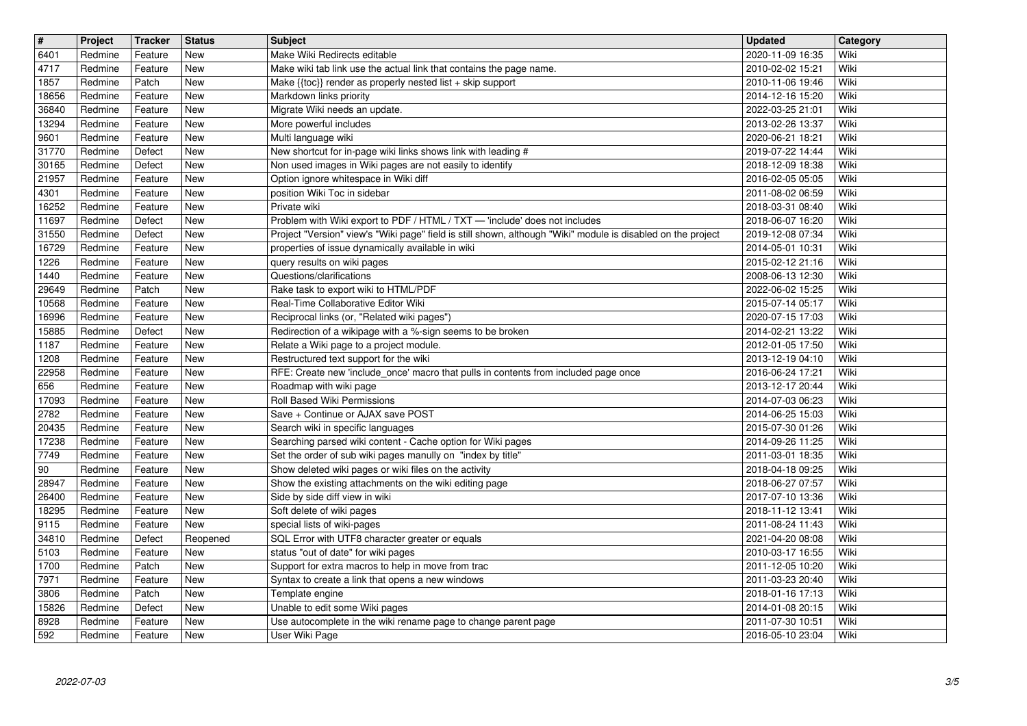| $\sqrt{\frac{4}{15}}$ | Project            | <b>Tracker</b>     | <b>Status</b>            | <b>Subject</b><br>Make Wiki Redirects editable                                                                                                                    | <b>Updated</b>                       | Category     |
|-----------------------|--------------------|--------------------|--------------------------|-------------------------------------------------------------------------------------------------------------------------------------------------------------------|--------------------------------------|--------------|
| 6401<br>4717          | Redmine<br>Redmine | Feature<br>Feature | New<br><b>New</b>        | Make wiki tab link use the actual link that contains the page name.                                                                                               | 2020-11-09 16:35<br>2010-02-02 15:21 | Wiki<br>Wiki |
| 1857<br>18656         | Redmine<br>Redmine | Patch<br>Feature   | <b>New</b><br><b>New</b> | Make {{toc}} render as properly nested list + skip support<br>Markdown links priority                                                                             | 2010-11-06 19:46<br>2014-12-16 15:20 | Wiki<br>Wiki |
| 36840                 | Redmine            | Feature            | New                      | Migrate Wiki needs an update.                                                                                                                                     | 2022-03-25 21:01                     | Wiki         |
| 13294<br>9601         | Redmine<br>Redmine | Feature<br>Feature | New<br>New               | More powerful includes<br>Multi language wiki                                                                                                                     | 2013-02-26 13:37<br>2020-06-21 18:21 | Wiki<br>Wiki |
| 31770                 | Redmine            | Defect             | New                      | New shortcut for in-page wiki links shows link with leading #                                                                                                     | 2019-07-22 14:44                     | Wiki         |
| 30165<br>21957        | Redmine<br>Redmine | Defect<br>Feature  | New<br>New               | Non used images in Wiki pages are not easily to identify<br>Option ignore whitespace in Wiki diff                                                                 | 2018-12-09 18:38<br>2016-02-05 05:05 | Wiki<br>Wiki |
| 4301                  | Redmine            | Feature            | <b>New</b>               | position Wiki Toc in sidebar                                                                                                                                      | 2011-08-02 06:59                     | Wiki         |
| 16252<br>11697        | Redmine<br>Redmine | Feature<br>Defect  | <b>New</b><br><b>New</b> | Private wiki<br>Problem with Wiki export to PDF / HTML / TXT - 'include' does not includes                                                                        | 2018-03-31 08:40<br>2018-06-07 16:20 | Wiki<br>Wiki |
| 31550<br>16729        | Redmine<br>Redmine | Defect<br>Feature  | New<br>New               | Project "Version" view's "Wiki page" field is still shown, although "Wiki" module is disabled on the project<br>properties of issue dynamically available in wiki | 2019-12-08 07:34<br>2014-05-01 10:31 | Wiki<br>Wiki |
| 1226                  | Redmine            | Feature            | New                      | query results on wiki pages                                                                                                                                       | 2015-02-12 21:16                     | Wiki         |
| 1440<br>29649         | Redmine<br>Redmine | Feature<br>Patch   | New<br>New               | Questions/clarifications<br>Rake task to export wiki to HTML/PDF                                                                                                  | 2008-06-13 12:30<br>2022-06-02 15:25 | Wiki<br>Wiki |
| 10568                 | Redmine            | Feature            | New                      | Real-Time Collaborative Editor Wiki                                                                                                                               | 2015-07-14 05:17                     | Wiki         |
| 16996<br>15885        | Redmine<br>Redmine | Feature<br>Defect  | <b>New</b><br>New        | Reciprocal links (or, "Related wiki pages")<br>Redirection of a wikipage with a %-sign seems to be broken                                                         | 2020-07-15 17:03<br>2014-02-21 13:22 | Wiki<br>Wiki |
| 1187<br>1208          | Redmine            | Feature            | New                      | Relate a Wiki page to a project module.                                                                                                                           | 2012-01-05 17:50                     | Wiki<br>Wiki |
| 22958                 | Redmine<br>Redmine | Feature<br>Feature | New<br>New               | Restructured text support for the wiki<br>RFE: Create new 'include_once' macro that pulls in contents from included page once                                     | 2013-12-19 04:10<br>2016-06-24 17:21 | Wiki         |
| 656<br>17093          | Redmine<br>Redmine | Feature<br>Feature | New<br>New               | Roadmap with wiki page<br>Roll Based Wiki Permissions                                                                                                             | 2013-12-17 20:44<br>2014-07-03 06:23 | Wiki<br>Wiki |
| 2782                  | Redmine            | Feature            | New                      | Save + Continue or AJAX save POST                                                                                                                                 | 2014-06-25 15:03                     | Wiki         |
| 20435<br>17238        | Redmine<br>Redmine | Feature<br>Feature | New<br><b>New</b>        | Search wiki in specific languages<br>Searching parsed wiki content - Cache option for Wiki pages                                                                  | 2015-07-30 01:26<br>2014-09-26 11:25 | Wiki<br>Wiki |
| 7749                  | Redmine            | Feature            | <b>New</b>               | Set the order of sub wiki pages manully on "index by title"                                                                                                       | 2011-03-01 18:35                     | Wiki         |
| 90<br>28947           | Redmine<br>Redmine | Feature<br>Feature | New<br>New               | Show deleted wiki pages or wiki files on the activity<br>Show the existing attachments on the wiki editing page                                                   | 2018-04-18 09:25<br>2018-06-27 07:57 | Wiki<br>Wiki |
| 26400                 | Redmine            | Feature            | New                      | Side by side diff view in wiki                                                                                                                                    | 2017-07-10 13:36                     | Wiki         |
| 18295<br>9115         | Redmine<br>Redmine | Feature<br>Feature | New<br>New               | Soft delete of wiki pages<br>special lists of wiki-pages                                                                                                          | 2018-11-12 13:41<br>2011-08-24 11:43 | Wiki<br>Wiki |
| 34810<br>5103         | Redmine<br>Redmine | Defect<br>Feature  | Reopened<br>New          | SQL Error with UTF8 character greater or equals<br>status "out of date" for wiki pages                                                                            | 2021-04-20 08:08<br>2010-03-17 16:55 | Wiki<br>Wiki |
| 1700                  | Redmine            | Patch              | New                      | Support for extra macros to help in move from trac                                                                                                                | 2011-12-05 10:20                     | Wiki         |
| 7971<br>3806          | Redmine<br>Redmine | Feature<br>Patch   | New<br>New               | Syntax to create a link that opens a new windows<br>Template engine                                                                                               | 2011-03-23 20:40<br>2018-01-16 17:13 | Wiki<br>Wiki |
| 15826                 | Redmine            | Defect             | New                      | Unable to edit some Wiki pages                                                                                                                                    | 2014-01-08 20:15                     | Wiki         |
| 8928<br>592           | Redmine<br>Redmine | Feature<br>Feature | New<br>New               | Use autocomplete in the wiki rename page to change parent page<br>User Wiki Page                                                                                  | 2011-07-30 10:51<br>2016-05-10 23:04 | Wiki<br>Wiki |
|                       |                    |                    |                          |                                                                                                                                                                   |                                      |              |
|                       |                    |                    |                          |                                                                                                                                                                   |                                      |              |
|                       |                    |                    |                          |                                                                                                                                                                   |                                      |              |
|                       |                    |                    |                          |                                                                                                                                                                   |                                      |              |
|                       |                    |                    |                          |                                                                                                                                                                   |                                      |              |
|                       |                    |                    |                          |                                                                                                                                                                   |                                      |              |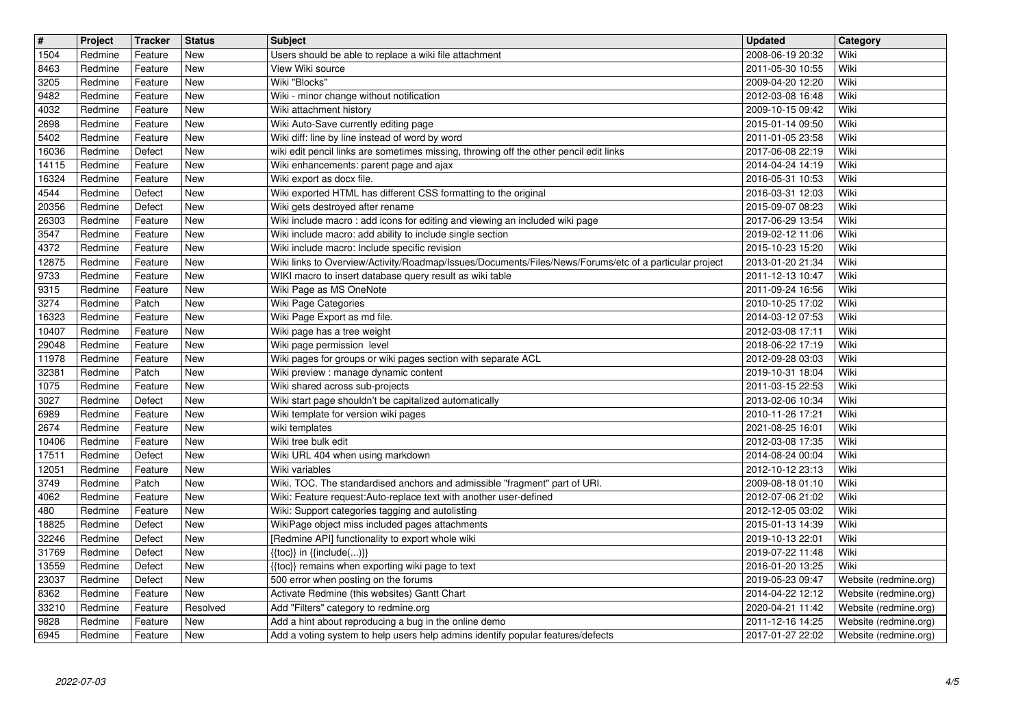| $\boxed{\texttt{#}}$ | Project            | <b>Tracker</b>     | <b>Status</b> | <b>Subject</b>                                                                                                                           | Updated                              | Category                                       |
|----------------------|--------------------|--------------------|---------------|------------------------------------------------------------------------------------------------------------------------------------------|--------------------------------------|------------------------------------------------|
| 1504                 | Redmine            | Feature            | New           | Users should be able to replace a wiki file attachment                                                                                   | 2008-06-19 20:32                     | Wiki                                           |
| 8463                 | Redmine            | Feature            | New           | View Wiki source                                                                                                                         | 2011-05-30 10:55                     | Wiki                                           |
| 3205                 | Redmine            | Feature            | New           | Wiki "Blocks"                                                                                                                            | 2009-04-20 12:20                     | Wiki                                           |
| 9482<br>4032         | Redmine<br>Redmine | Feature<br>Feature | New<br>New    | Wiki - minor change without notification<br>Wiki attachment history                                                                      | 2012-03-08 16:48<br>2009-10-15 09:42 | Wiki<br>Wiki                                   |
| 2698                 | Redmine            | Feature            | New           | Wiki Auto-Save currently editing page                                                                                                    | 2015-01-14 09:50                     | Wiki                                           |
| 5402                 | Redmine            | Feature            | New           | Wiki diff: line by line instead of word by word                                                                                          | 2011-01-05 23:58                     | Wiki                                           |
| 16036                | Redmine            | Defect             | New           | wiki edit pencil links are sometimes missing, throwing off the other pencil edit links                                                   | 2017-06-08 22:19                     | Wiki                                           |
| 14115                | Redmine            | Feature            | New           | Wiki enhancements: parent page and ajax                                                                                                  | 2014-04-24 14:19                     | Wiki                                           |
| 16324                | Redmine            | Feature            | <b>New</b>    | Wiki export as docx file.                                                                                                                | 2016-05-31 10:53                     | Wiki                                           |
| 4544                 | Redmine            | Defect             | <b>New</b>    | Wiki exported HTML has different CSS formatting to the original                                                                          | 2016-03-31 12:03                     | Wiki                                           |
| 20356                | Redmine            | Defect             | New           | Wiki gets destroyed after rename                                                                                                         | 2015-09-07 08:23                     | Wiki                                           |
| 26303<br>3547        | Redmine<br>Redmine | Feature<br>Feature | New<br>New    | Wiki include macro: add icons for editing and viewing an included wiki page<br>Wiki include macro: add ability to include single section | 2017-06-29 13:54<br>2019-02-12 11:06 | Wiki<br>Wiki                                   |
| 4372                 | Redmine            | Feature            | New           | Wiki include macro: Include specific revision                                                                                            | 2015-10-23 15:20                     | Wiki                                           |
| 12875                | Redmine            | Feature            | New           | Wiki links to Overview/Activity/Roadmap/Issues/Documents/Files/News/Forums/etc of a particular project                                   | 2013-01-20 21:34                     | Wiki                                           |
| 9733                 | Redmine            | Feature            | New           | WIKI macro to insert database query result as wiki table                                                                                 | 2011-12-13 10:47                     | Wiki                                           |
| 9315                 | Redmine            | Feature            | <b>New</b>    | Wiki Page as MS OneNote                                                                                                                  | 2011-09-24 16:56                     | Wiki                                           |
| 3274                 | Redmine            | Patch              | New           | Wiki Page Categories                                                                                                                     | 2010-10-25 17:02                     | Wiki                                           |
| 16323                | Redmine            | Feature            | New           | Wiki Page Export as md file.                                                                                                             | 2014-03-12 07:53                     | Wiki                                           |
| 10407                | Redmine            | Feature            | New           | Wiki page has a tree weight                                                                                                              | 2012-03-08 17:11                     | Wiki                                           |
| 29048                | Redmine            | Feature            | New           | Wiki page permission level                                                                                                               | 2018-06-22 17:19                     | Wiki                                           |
| 11978<br>32381       | Redmine<br>Redmine | Feature<br>Patch   | New<br>New    | Wiki pages for groups or wiki pages section with separate ACL<br>Wiki preview : manage dynamic content                                   | 2012-09-28 03:03<br>2019-10-31 18:04 | Wiki<br>Wiki                                   |
| 1075                 | Redmine            | Feature            | New           | Wiki shared across sub-projects                                                                                                          | 2011-03-15 22:53                     | Wiki                                           |
| 3027                 | Redmine            | Defect             | New           | Wiki start page shouldn't be capitalized automatically                                                                                   | 2013-02-06 10:34                     | Wiki                                           |
| 6989                 | Redmine            | Feature            | <b>New</b>    | Wiki template for version wiki pages                                                                                                     | 2010-11-26 17:21                     | Wiki                                           |
| 2674                 | Redmine            | Feature            | New           | wiki templates                                                                                                                           | 2021-08-25 16:01                     | Wiki                                           |
| 10406                | Redmine            | Feature            | New           | Wiki tree bulk edit                                                                                                                      | 2012-03-08 17:35                     | Wiki                                           |
| 17511                | Redmine            | Defect             | New           | Wiki URL 404 when using markdown                                                                                                         | 2014-08-24 00:04                     | Wiki                                           |
| 12051                | Redmine            | Feature            | New           | Wiki variables                                                                                                                           | 2012-10-12 23:13                     | Wiki                                           |
| 3749                 | Redmine            | Patch              | New           | Wiki. TOC. The standardised anchors and admissible "fragment" part of URI.                                                               | 2009-08-18 01:10                     | Wiki                                           |
| 4062<br>480          | Redmine<br>Redmine | Feature<br>Feature | New<br>New    | Wiki: Feature request:Auto-replace text with another user-defined<br>Wiki: Support categories tagging and autolisting                    | 2012-07-06 21:02<br>2012-12-05 03:02 | Wiki<br>Wiki                                   |
| 18825                | Redmine            | Defect             | New           | WikiPage object miss included pages attachments                                                                                          | 2015-01-13 14:39                     | Wiki                                           |
| 32246                | Redmine            | Defect             | <b>New</b>    | [Redmine API] functionality to export whole wiki                                                                                         | 2019-10-13 22:01                     | Wiki                                           |
| 31769                | Redmine            | Defect             | New           | $\{\{\textsf{toc}\}\}\$ in $\{\{\textsf{include}()\}\}$                                                                                  | 2019-07-22 11:48                     | Wiki                                           |
| 13559                | Redmine            | Defect             | New           | {{toc}} remains when exporting wiki page to text                                                                                         | 2016-01-20 13:25                     | Wiki                                           |
| 23037                | Redmine            | Defect             | New           | 500 error when posting on the forums                                                                                                     | 2019-05-23 09:47                     | Website (redmine.org)                          |
| 8362                 | Redmine            | Feature            | New           | Activate Redmine (this websites) Gantt Chart                                                                                             | 2014-04-22 12:12                     | Website (redmine.org)                          |
| 33210                | Redmine            | Feature            | Resolved      | Add "Filters" category to redmine.org                                                                                                    | 2020-04-21 11:42                     | Website (redmine.org)                          |
| 9828<br>6945         | Redmine<br>Redmine | Feature<br>Feature | New<br>New    | Add a hint about reproducing a bug in the online demo<br>Add a voting system to help users help admins identify popular features/defects | 2011-12-16 14:25<br>2017-01-27 22:02 | Website (redmine.org)<br>Website (redmine.org) |
|                      |                    |                    |               |                                                                                                                                          |                                      |                                                |
|                      |                    |                    |               |                                                                                                                                          |                                      |                                                |
|                      |                    |                    |               |                                                                                                                                          |                                      |                                                |
|                      |                    |                    |               |                                                                                                                                          |                                      |                                                |
|                      |                    |                    |               |                                                                                                                                          |                                      |                                                |
|                      |                    |                    |               |                                                                                                                                          |                                      |                                                |
|                      |                    |                    |               |                                                                                                                                          |                                      |                                                |
|                      |                    |                    |               |                                                                                                                                          |                                      |                                                |
|                      |                    |                    |               |                                                                                                                                          |                                      |                                                |
|                      |                    |                    |               |                                                                                                                                          |                                      |                                                |
|                      |                    |                    |               |                                                                                                                                          |                                      |                                                |
|                      |                    |                    |               |                                                                                                                                          |                                      |                                                |
|                      |                    |                    |               |                                                                                                                                          |                                      |                                                |